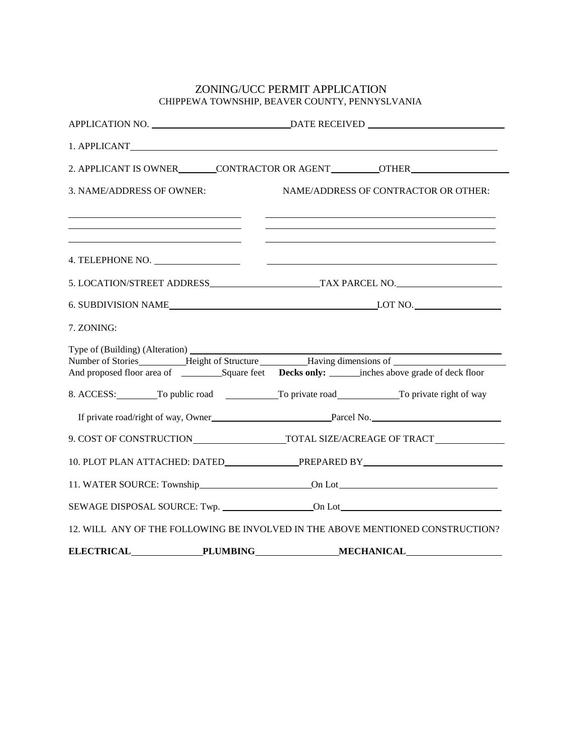## ZONING/UCC PERMIT APPLICATION CHIPPEWA TOWNSHIP, BEAVER COUNTY, PENNYSLVANIA

| 1. APPLICANT                         |                                                                                |
|--------------------------------------|--------------------------------------------------------------------------------|
|                                      | 2. APPLICANT IS OWNER CONTRACTOR OR AGENT COTHER                               |
| 3. NAME/ADDRESS OF OWNER:            | NAME/ADDRESS OF CONTRACTOR OR OTHER:                                           |
|                                      |                                                                                |
|                                      |                                                                                |
|                                      |                                                                                |
|                                      |                                                                                |
| 7. ZONING:                           |                                                                                |
|                                      |                                                                                |
|                                      |                                                                                |
|                                      | 8. ACCESS: To public road To private road To private right of way              |
|                                      |                                                                                |
|                                      |                                                                                |
|                                      | 10. PLOT PLAN ATTACHED: DATED PREPARED BY                                      |
|                                      |                                                                                |
|                                      |                                                                                |
|                                      | 12. WILL ANY OF THE FOLLOWING BE INVOLVED IN THE ABOVE MENTIONED CONSTRUCTION? |
| <b>ELECTRICAL</b><br><b>PLUMBING</b> | <b>MECHANICAL</b>                                                              |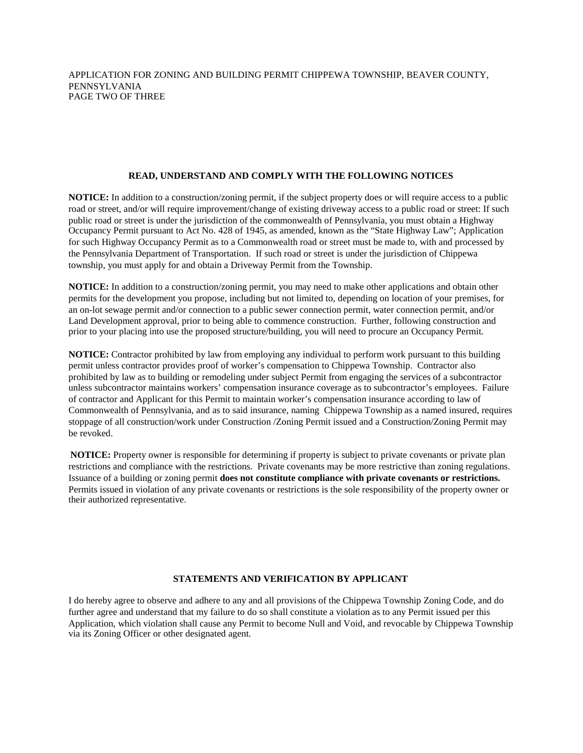## **READ, UNDERSTAND AND COMPLY WITH THE FOLLOWING NOTICES**

**NOTICE:** In addition to a construction/zoning permit, if the subject property does or will require access to a public road or street, and/or will require improvement/change of existing driveway access to a public road or street: If such public road or street is under the jurisdiction of the commonwealth of Pennsylvania, you must obtain a Highway Occupancy Permit pursuant to Act No. 428 of 1945, as amended, known as the "State Highway Law"; Application for such Highway Occupancy Permit as to a Commonwealth road or street must be made to, with and processed by the Pennsylvania Department of Transportation. If such road or street is under the jurisdiction of Chippewa township, you must apply for and obtain a Driveway Permit from the Township.

**NOTICE:** In addition to a construction/zoning permit, you may need to make other applications and obtain other permits for the development you propose, including but not limited to, depending on location of your premises, for an on-lot sewage permit and/or connection to a public sewer connection permit, water connection permit, and/or Land Development approval, prior to being able to commence construction. Further, following construction and prior to your placing into use the proposed structure/building, you will need to procure an Occupancy Permit.

**NOTICE:** Contractor prohibited by law from employing any individual to perform work pursuant to this building permit unless contractor provides proof of worker's compensation to Chippewa Township. Contractor also prohibited by law as to building or remodeling under subject Permit from engaging the services of a subcontractor unless subcontractor maintains workers' compensation insurance coverage as to subcontractor's employees. Failure of contractor and Applicant for this Permit to maintain worker's compensation insurance according to law of Commonwealth of Pennsylvania, and as to said insurance, naming Chippewa Township as a named insured, requires stoppage of all construction/work under Construction /Zoning Permit issued and a Construction/Zoning Permit may be revoked.

**NOTICE:** Property owner is responsible for determining if property is subject to private covenants or private plan restrictions and compliance with the restrictions. Private covenants may be more restrictive than zoning regulations. Issuance of a building or zoning permit **does not constitute compliance with private covenants or restrictions.** Permits issued in violation of any private covenants or restrictions is the sole responsibility of the property owner or their authorized representative.

## **STATEMENTS AND VERIFICATION BY APPLICANT**

I do hereby agree to observe and adhere to any and all provisions of the Chippewa Township Zoning Code, and do further agree and understand that my failure to do so shall constitute a violation as to any Permit issued per this Application, which violation shall cause any Permit to become Null and Void, and revocable by Chippewa Township via its Zoning Officer or other designated agent.